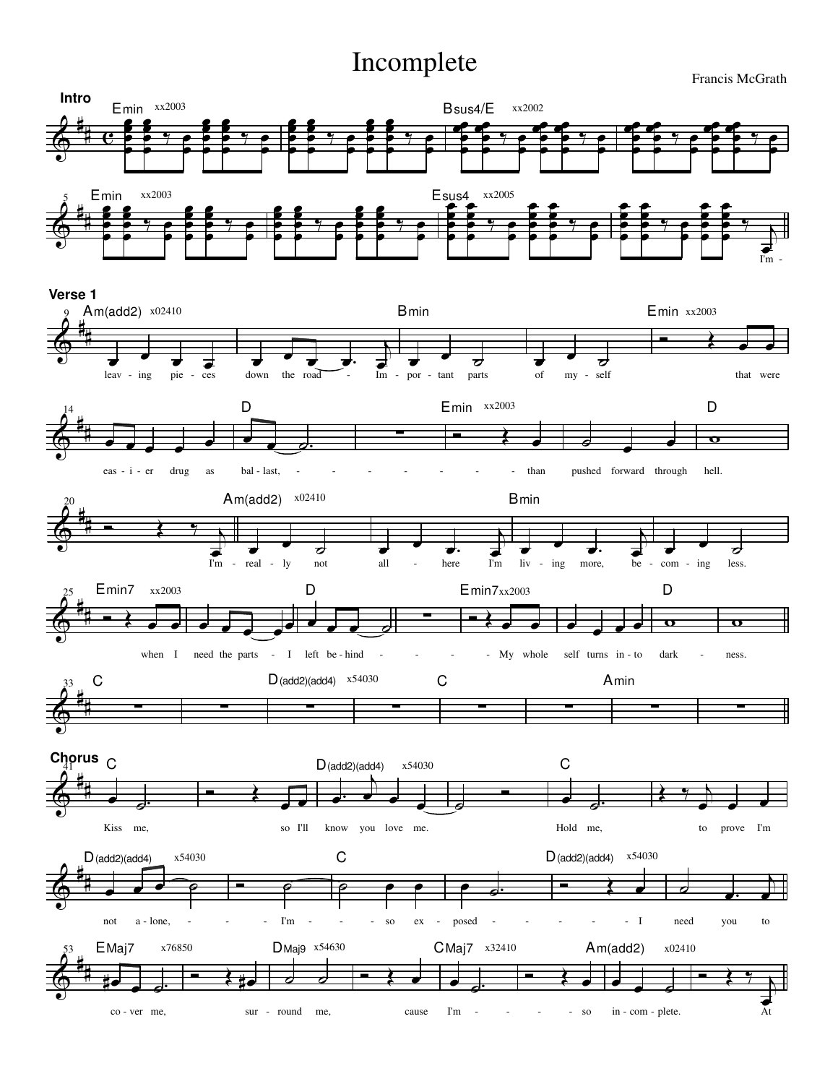## Incomplete

Francis McGrath